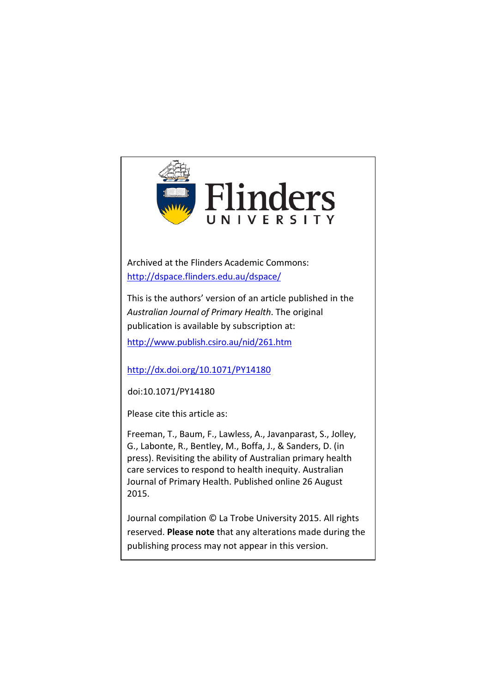

Archived at the Flinders Academic Commons: <http://dspace.flinders.edu.au/dspace/>

This is the authors' version of an article published in the *Australian Journal of Primary Health*. The original publication is available by subscription at: http://www.publish.csiro.au/nid/261.htm

http://dx.doi.org/10.1071/PY14180

doi:10.1071/PY14180

Please cite this article as:

Freeman, T., Baum, F., Lawless, A., Javanparast, S., Jolley, G., Labonte, R., Bentley, M., Boffa, J., & Sanders, D. (in press). Revisiting the ability of Australian primary health care services to respond to health inequity. Australian Journal of Primary Health. Published online 26 August 2015.

Journal compilation © La Trobe University 2015. All rights reserved. **Please note** that any alterations made during the publishing process may not appear in this version.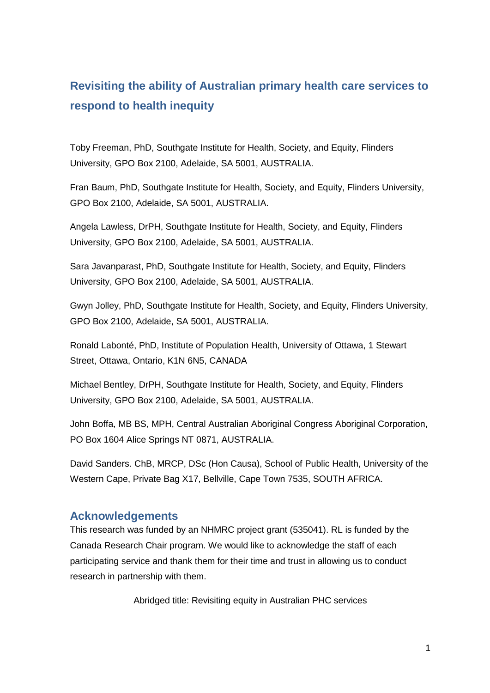# **Revisiting the ability of Australian primary health care services to respond to health inequity**

Toby Freeman, PhD, Southgate Institute for Health, Society, and Equity, Flinders University, GPO Box 2100, Adelaide, SA 5001, AUSTRALIA.

Fran Baum, PhD, Southgate Institute for Health, Society, and Equity, Flinders University, GPO Box 2100, Adelaide, SA 5001, AUSTRALIA.

Angela Lawless, DrPH, Southgate Institute for Health, Society, and Equity, Flinders University, GPO Box 2100, Adelaide, SA 5001, AUSTRALIA.

Sara Javanparast, PhD, Southgate Institute for Health, Society, and Equity, Flinders University, GPO Box 2100, Adelaide, SA 5001, AUSTRALIA.

Gwyn Jolley, PhD, Southgate Institute for Health, Society, and Equity, Flinders University, GPO Box 2100, Adelaide, SA 5001, AUSTRALIA.

Ronald Labonté, PhD, Institute of Population Health, University of Ottawa, 1 Stewart Street, Ottawa, Ontario, K1N 6N5, CANADA

Michael Bentley, DrPH, Southgate Institute for Health, Society, and Equity, Flinders University, GPO Box 2100, Adelaide, SA 5001, AUSTRALIA.

John Boffa, MB BS, MPH, Central Australian Aboriginal Congress Aboriginal Corporation, PO Box 1604 Alice Springs NT 0871, AUSTRALIA.

David Sanders. ChB, MRCP, DSc (Hon Causa), School of Public Health, University of the Western Cape, Private Bag X17, Bellville, Cape Town 7535, SOUTH AFRICA.

### **Acknowledgements**

This research was funded by an NHMRC project grant (535041). RL is funded by the Canada Research Chair program. We would like to acknowledge the staff of each participating service and thank them for their time and trust in allowing us to conduct research in partnership with them.

Abridged title: Revisiting equity in Australian PHC services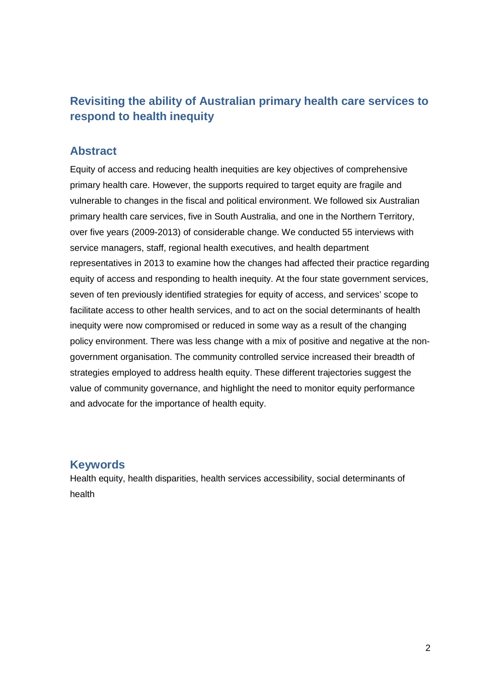# **Revisiting the ability of Australian primary health care services to respond to health inequity**

## **Abstract**

Equity of access and reducing health inequities are key objectives of comprehensive primary health care. However, the supports required to target equity are fragile and vulnerable to changes in the fiscal and political environment. We followed six Australian primary health care services, five in South Australia, and one in the Northern Territory, over five years (2009-2013) of considerable change. We conducted 55 interviews with service managers, staff, regional health executives, and health department representatives in 2013 to examine how the changes had affected their practice regarding equity of access and responding to health inequity. At the four state government services, seven of ten previously identified strategies for equity of access, and services' scope to facilitate access to other health services, and to act on the social determinants of health inequity were now compromised or reduced in some way as a result of the changing policy environment. There was less change with a mix of positive and negative at the nongovernment organisation. The community controlled service increased their breadth of strategies employed to address health equity. These different trajectories suggest the value of community governance, and highlight the need to monitor equity performance and advocate for the importance of health equity.

### **Keywords**

Health equity, health disparities, health services accessibility, social determinants of health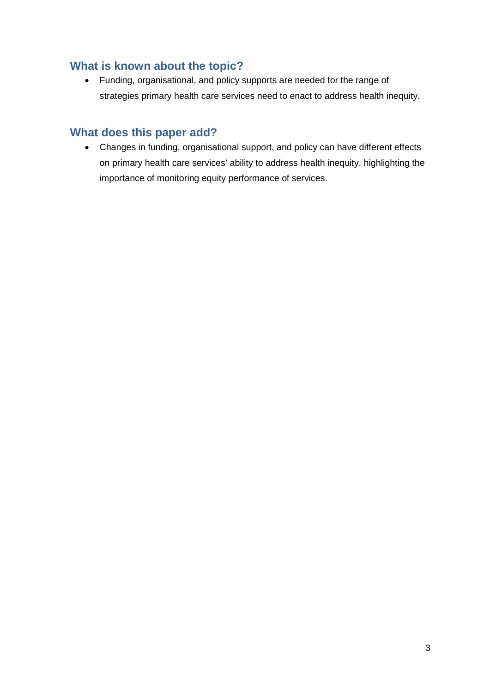# **What is known about the topic?**

• Funding, organisational, and policy supports are needed for the range of strategies primary health care services need to enact to address health inequity.

# **What does this paper add?**

• Changes in funding, organisational support, and policy can have different effects on primary health care services' ability to address health inequity, highlighting the importance of monitoring equity performance of services.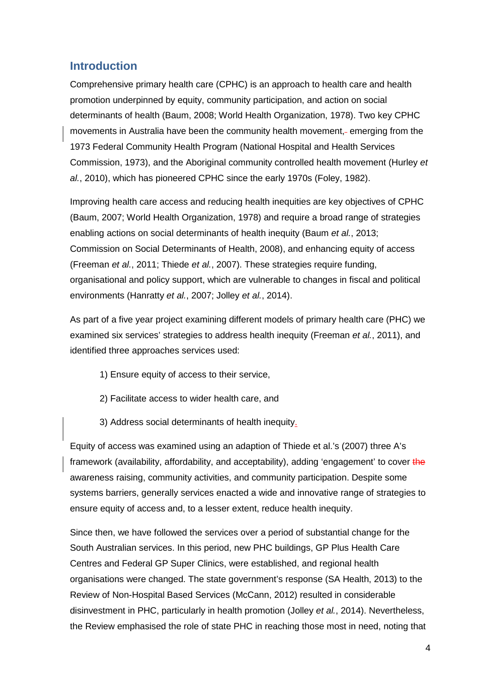# **Introduction**

Comprehensive primary health care (CPHC) is an approach to health care and health promotion underpinned by equity, community participation, and action on social determinants of health (Baum, 2008; World Health Organization, 1978). Two key CPHC movements in Australia have been the community health movement,- emerging from the 1973 Federal Community Health Program (National Hospital and Health Services Commission, 1973), and the Aboriginal community controlled health movement (Hurley *et al.*, 2010), which has pioneered CPHC since the early 1970s (Foley, 1982).

Improving health care access and reducing health inequities are key objectives of CPHC (Baum, 2007; World Health Organization, 1978) and require a broad range of strategies enabling actions on social determinants of health inequity (Baum *et al.*, 2013; Commission on Social Determinants of Health, 2008), and enhancing equity of access (Freeman *et al.*, 2011; Thiede *et al.*, 2007). These strategies require funding, organisational and policy support, which are vulnerable to changes in fiscal and political environments (Hanratty *et al.*, 2007; Jolley *et al.*, 2014).

As part of a five year project examining different models of primary health care (PHC) we examined six services' strategies to address health inequity (Freeman *et al.*, 2011), and identified three approaches services used:

- 1) Ensure equity of access to their service,
- 2) Facilitate access to wider health care, and
- 3) Address social determinants of health inequity.

Equity of access was examined using an adaption of Thiede et al.'s (2007) three A's framework (availability, affordability, and acceptability), adding 'engagement' to cover the awareness raising, community activities, and community participation. Despite some systems barriers, generally services enacted a wide and innovative range of strategies to ensure equity of access and, to a lesser extent, reduce health inequity.

Since then, we have followed the services over a period of substantial change for the South Australian services. In this period, new PHC buildings, GP Plus Health Care Centres and Federal GP Super Clinics, were established, and regional health organisations were changed. The state government's response (SA Health, 2013) to the Review of Non-Hospital Based Services (McCann, 2012) resulted in considerable disinvestment in PHC, particularly in health promotion (Jolley *et al.*, 2014). Nevertheless, the Review emphasised the role of state PHC in reaching those most in need, noting that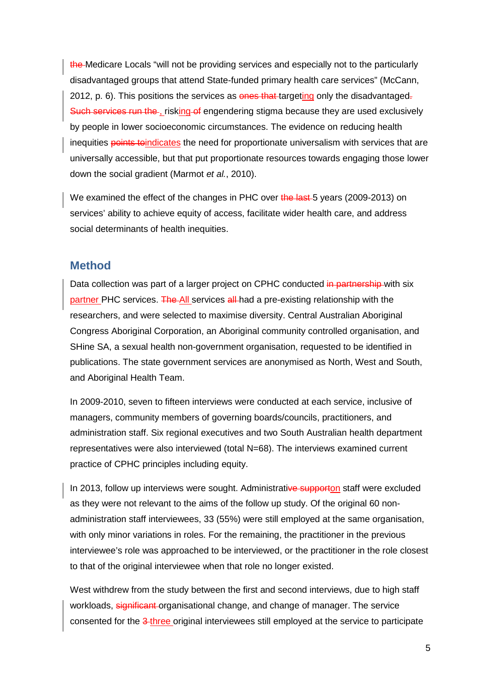the Medicare Locals "will not be providing services and especially not to the particularly disadvantaged groups that attend State-funded primary health care services" (McCann, 2012, p. 6). This positions the services as ones that targeting only the disadvantaged. Such services run the risking of engendering stigma because they are used exclusively by people in lower socioeconomic circumstances. The evidence on reducing health inequities points to indicates the need for proportionate universalism with services that are universally accessible, but that put proportionate resources towards engaging those lower down the social gradient (Marmot *et al.*, 2010).

We examined the effect of the changes in PHC over the last-5 years (2009-2013) on services' ability to achieve equity of access, facilitate wider health care, and address social determinants of health inequities.

### **Method**

Data collection was part of a larger project on CPHC conducted in partnership-with six partner PHC services. The All services all had a pre-existing relationship with the researchers, and were selected to maximise diversity. Central Australian Aboriginal Congress Aboriginal Corporation, an Aboriginal community controlled organisation, and SHine SA, a sexual health non-government organisation, requested to be identified in publications. The state government services are anonymised as North, West and South, and Aboriginal Health Team.

In 2009-2010, seven to fifteen interviews were conducted at each service, inclusive of managers, community members of governing boards/councils, practitioners, and administration staff. Six regional executives and two South Australian health department representatives were also interviewed (total N=68). The interviews examined current practice of CPHC principles including equity.

In 2013, follow up interviews were sought. Administrative supporton staff were excluded as they were not relevant to the aims of the follow up study. Of the original 60 nonadministration staff interviewees, 33 (55%) were still employed at the same organisation, with only minor variations in roles. For the remaining, the practitioner in the previous interviewee's role was approached to be interviewed, or the practitioner in the role closest to that of the original interviewee when that role no longer existed.

West withdrew from the study between the first and second interviews, due to high staff workloads, significant organisational change, and change of manager. The service consented for the 3 three original interviewees still employed at the service to participate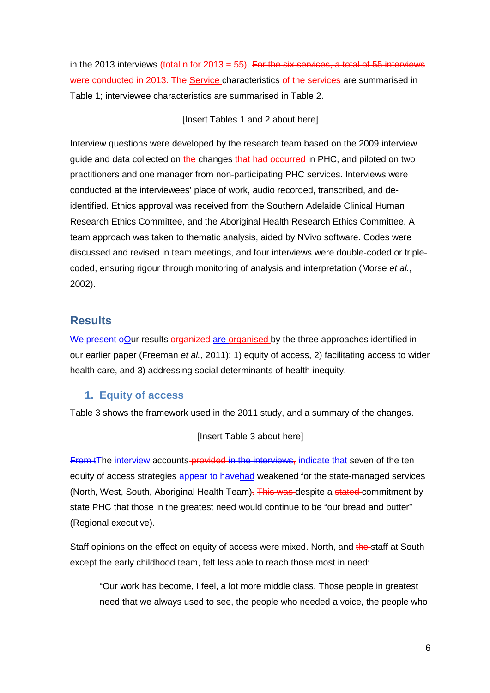in the 2013 interviews (total n for  $2013 = 55$ ). For the six services, a total of 55 interviews were conducted in 2013. The Service characteristics of the services are summarised in Table 1; interviewee characteristics are summarised in Table 2.

#### [Insert Tables 1 and 2 about here]

Interview questions were developed by the research team based on the 2009 interview guide and data collected on the changes that had occurred in PHC, and piloted on two practitioners and one manager from non-participating PHC services. Interviews were conducted at the interviewees' place of work, audio recorded, transcribed, and deidentified. Ethics approval was received from the Southern Adelaide Clinical Human Research Ethics Committee, and the Aboriginal Health Research Ethics Committee. A team approach was taken to thematic analysis, aided by NVivo software. Codes were discussed and revised in team meetings, and four interviews were double-coded or triplecoded, ensuring rigour through monitoring of analysis and interpretation (Morse *et al.*, 2002).

# **Results**

We present oOur results organized are organised by the three approaches identified in our earlier paper (Freeman *et al.*, 2011): 1) equity of access, 2) facilitating access to wider health care, and 3) addressing social determinants of health inequity.

# **1. Equity of access**

Table 3 shows the framework used in the 2011 study, and a summary of the changes.

#### [Insert Table 3 about here]

From tThe interview accounts-provided in the interviews, indicate that seven of the ten equity of access strategies appear to have had weakened for the state-managed services (North, West, South, Aboriginal Health Team). This was despite a stated commitment by state PHC that those in the greatest need would continue to be "our bread and butter" (Regional executive).

Staff opinions on the effect on equity of access were mixed. North, and the staff at South except the early childhood team, felt less able to reach those most in need:

"Our work has become, I feel, a lot more middle class. Those people in greatest need that we always used to see, the people who needed a voice, the people who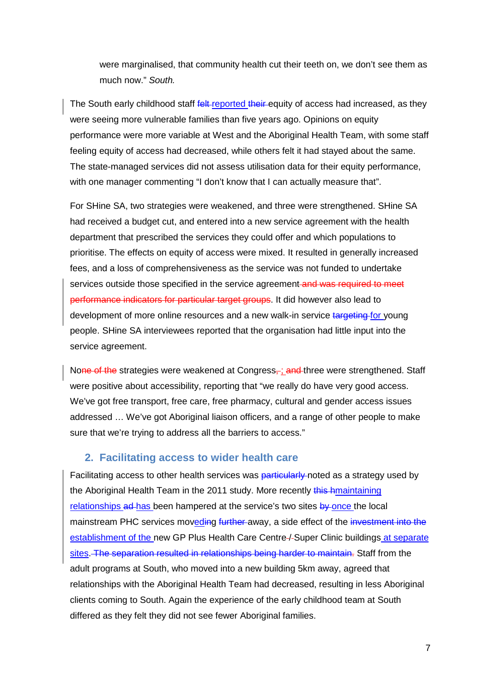were marginalised, that community health cut their teeth on, we don't see them as much now." *South.*

The South early childhood staff felt reported their equity of access had increased, as they were seeing more vulnerable families than five years ago. Opinions on equity performance were more variable at West and the Aboriginal Health Team, with some staff feeling equity of access had decreased, while others felt it had stayed about the same. The state-managed services did not assess utilisation data for their equity performance, with one manager commenting "I don't know that I can actually measure that".

For SHine SA, two strategies were weakened, and three were strengthened. SHine SA had received a budget cut, and entered into a new service agreement with the health department that prescribed the services they could offer and which populations to prioritise. The effects on equity of access were mixed. It resulted in generally increased fees, and a loss of comprehensiveness as the service was not funded to undertake services outside those specified in the service agreement and was required to meet performance indicators for particular target groups. It did however also lead to development of more online resources and a new walk-in service targeting for young people. SHine SA interviewees reported that the organisation had little input into the service agreement.

None of the strategies were weakened at Congress<sub></sub>, and three were strengthened. Staff were positive about accessibility, reporting that "we really do have very good access. We've got free transport, free care, free pharmacy, cultural and gender access issues addressed … We've got Aboriginal liaison officers, and a range of other people to make sure that we're trying to address all the barriers to access."

#### **2. Facilitating access to wider health care**

Facilitating access to other health services was particularly noted as a strategy used by the Aboriginal Health Team in the 2011 study. More recently this hmaintaining relationships ad has been hampered at the service's two sites by once the local mainstream PHC services moveding further away, a side effect of the investment into the establishment of the new GP Plus Health Care Centre-/-Super Clinic buildings at separate sites. The separation resulted in relationships being harder to maintain. Staff from the adult programs at South, who moved into a new building 5km away, agreed that relationships with the Aboriginal Health Team had decreased, resulting in less Aboriginal clients coming to South. Again the experience of the early childhood team at South differed as they felt they did not see fewer Aboriginal families.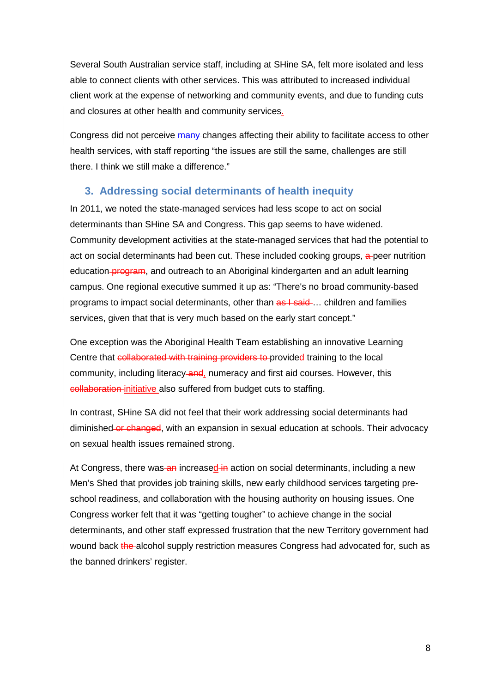Several South Australian service staff, including at SHine SA, felt more isolated and less able to connect clients with other services. This was attributed to increased individual client work at the expense of networking and community events, and due to funding cuts and closures at other health and community services.

Congress did not perceive many changes affecting their ability to facilitate access to other health services, with staff reporting "the issues are still the same, challenges are still there. I think we still make a difference."

## **3. Addressing social determinants of health inequity**

In 2011, we noted the state-managed services had less scope to act on social determinants than SHine SA and Congress. This gap seems to have widened. Community development activities at the state-managed services that had the potential to act on social determinants had been cut. These included cooking groups,  $a$ -peer nutrition education-**program**, and outreach to an Aboriginal kindergarten and an adult learning campus. One regional executive summed it up as: "There's no broad community-based programs to impact social determinants, other than  $\frac{1}{2}$  said ... children and families services, given that that is very much based on the early start concept."

One exception was the Aboriginal Health Team establishing an innovative Learning Centre that collaborated with training providers to provided training to the local community, including literacy-and, numeracy and first aid courses. However, this collaboration initiative also suffered from budget cuts to staffing.

In contrast, SHine SA did not feel that their work addressing social determinants had diminished or changed, with an expansion in sexual education at schools. Their advocacy on sexual health issues remained strong.

At Congress, there was an increased in action on social determinants, including a new Men's Shed that provides job training skills, new early childhood services targeting preschool readiness, and collaboration with the housing authority on housing issues. One Congress worker felt that it was "getting tougher" to achieve change in the social determinants, and other staff expressed frustration that the new Territory government had wound back the alcohol supply restriction measures Congress had advocated for, such as the banned drinkers' register.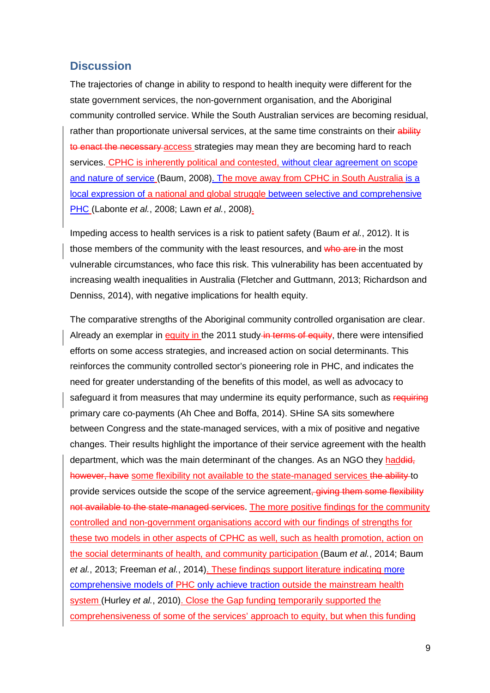# **Discussion**

The trajectories of change in ability to respond to health inequity were different for the state government services, the non-government organisation, and the Aboriginal community controlled service. While the South Australian services are becoming residual, rather than proportionate universal services, at the same time constraints on their ability to enact the necessary access strategies may mean they are becoming hard to reach services. CPHC is inherently political and contested, without clear agreement on scope and nature of service (Baum, 2008). The move away from CPHC in South Australia is a local expression of a national and global struggle between selective and comprehensive PHC (Labonte *et al.*, 2008; Lawn *et al.*, 2008).

Impeding access to health services is a risk to patient safety (Baum *et al.*, 2012). It is those members of the community with the least resources, and who are in the most vulnerable circumstances, who face this risk. This vulnerability has been accentuated by increasing wealth inequalities in Australia (Fletcher and Guttmann, 2013; Richardson and Denniss, 2014), with negative implications for health equity.

The comparative strengths of the Aboriginal community controlled organisation are clear. Already an exemplar in equity in the 2011 study in terms of equity, there were intensified efforts on some access strategies, and increased action on social determinants. This reinforces the community controlled sector's pioneering role in PHC, and indicates the need for greater understanding of the benefits of this model, as well as advocacy to safeguard it from measures that may undermine its equity performance, such as requiring primary care co-payments (Ah Chee and Boffa, 2014). SHine SA sits somewhere between Congress and the state-managed services, with a mix of positive and negative changes. Their results highlight the importance of their service agreement with the health department, which was the main determinant of the changes. As an NGO they haddid, however, have some flexibility not available to the state-managed services the ability to provide services outside the scope of the service agreement. giving them some flexibility not available to the state-managed services. The more positive findings for the community controlled and non-government organisations accord with our findings of strengths for these two models in other aspects of CPHC as well, such as health promotion, action on the social determinants of health, and community participation (Baum *et al.*, 2014; Baum *et al.*, 2013; Freeman *et al.*, 2014). These findings support literature indicating more comprehensive models of PHC only achieve traction outside the mainstream health system (Hurley *et al.*, 2010). Close the Gap funding temporarily supported the comprehensiveness of some of the services' approach to equity, but when this funding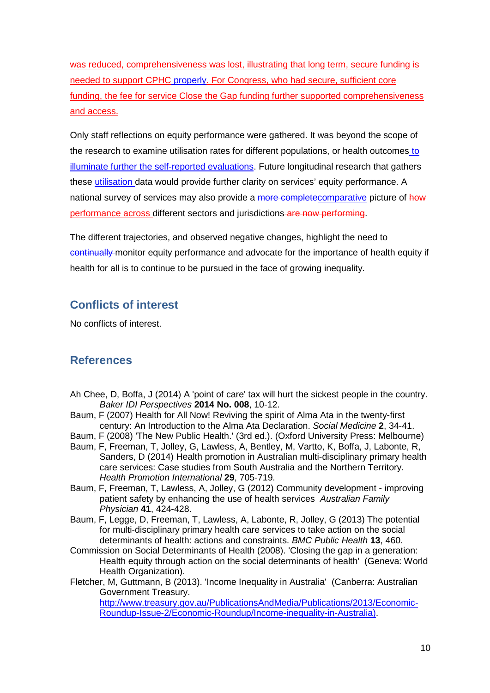was reduced, comprehensiveness was lost, illustrating that long term, secure funding is needed to support CPHC properly. For Congress, who had secure, sufficient core funding, the fee for service Close the Gap funding further supported comprehensiveness and access.

Only staff reflections on equity performance were gathered. It was beyond the scope of the research to examine utilisation rates for different populations, or health outcomes to illuminate further the self-reported evaluations. Future longitudinal research that gathers these utilisation data would provide further clarity on services' equity performance. A national survey of services may also provide a more complete comparative picture of how performance across different sectors and jurisdictions are now performing.

The different trajectories, and observed negative changes, highlight the need to continually monitor equity performance and advocate for the importance of health equity if health for all is to continue to be pursued in the face of growing inequality.

# **Conflicts of interest**

No conflicts of interest.

# **References**

- Ah Chee, D, Boffa, J (2014) A 'point of care' tax will hurt the sickest people in the country. *Baker IDI Perspectives* **2014 No. 008**, 10-12.
- Baum, F (2007) Health for All Now! Reviving the spirit of Alma Ata in the twenty-first century: An Introduction to the Alma Ata Declaration. *Social Medicine* **2**, 34-41.
- Baum, F (2008) 'The New Public Health.' (3rd ed.). (Oxford University Press: Melbourne)
- Baum, F, Freeman, T, Jolley, G, Lawless, A, Bentley, M, Vartto, K, Boffa, J, Labonte, R, Sanders, D (2014) Health promotion in Australian multi-disciplinary primary health care services: Case studies from South Australia and the Northern Territory. *Health Promotion International* **29**, 705-719.
- Baum, F, Freeman, T, Lawless, A, Jolley, G (2012) Community development improving patient safety by enhancing the use of health services *Australian Family Physician* **41**, 424-428.
- Baum, F, Legge, D, Freeman, T, Lawless, A, Labonte, R, Jolley, G (2013) The potential for multi-disciplinary primary health care services to take action on the social determinants of health: actions and constraints. *BMC Public Health* **13**, 460.
- Commission on Social Determinants of Health (2008). 'Closing the gap in a generation: Health equity through action on the social determinants of health' (Geneva: World Health Organization).
- Fletcher, M, Guttmann, B (2013). 'Income Inequality in Australia' (Canberra: Australian Government Treasury. [http://www.treasury.gov.au/PublicationsAndMedia/Publications/2013/Economic-](http://www.treasury.gov.au/PublicationsAndMedia/Publications/2013/Economic-Roundup-Issue-2/Economic-Roundup/Income-inequality-in-Australia))

[Roundup-Issue-2/Economic-Roundup/Income-inequality-in-Australia\).](http://www.treasury.gov.au/PublicationsAndMedia/Publications/2013/Economic-Roundup-Issue-2/Economic-Roundup/Income-inequality-in-Australia))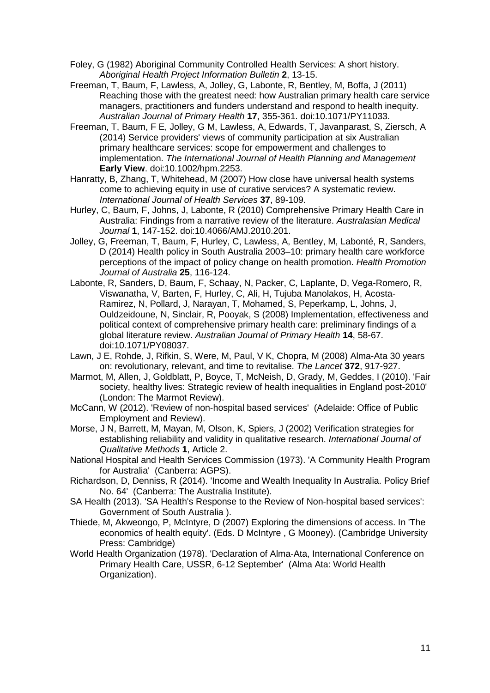- Foley, G (1982) Aboriginal Community Controlled Health Services: A short history. *Aboriginal Health Project Information Bulletin* **2**, 13-15.
- Freeman, T, Baum, F, Lawless, A, Jolley, G, Labonte, R, Bentley, M, Boffa, J (2011) Reaching those with the greatest need: how Australian primary health care service managers, practitioners and funders understand and respond to health inequity. *Australian Journal of Primary Health* **17**, 355-361. doi:10.1071/PY11033.
- Freeman, T, Baum, F E, Jolley, G M, Lawless, A, Edwards, T, Javanparast, S, Ziersch, A (2014) Service providers' views of community participation at six Australian primary healthcare services: scope for empowerment and challenges to implementation. *The International Journal of Health Planning and Management*  **Early View**. doi:10.1002/hpm.2253.
- Hanratty, B, Zhang, T, Whitehead, M (2007) How close have universal health systems come to achieving equity in use of curative services? A systematic review. *International Journal of Health Services* **37**, 89-109.
- Hurley, C, Baum, F, Johns, J, Labonte, R (2010) Comprehensive Primary Health Care in Australia: Findings from a narrative review of the literature. *Australasian Medical Journal* **1**, 147-152. doi:10.4066/AMJ.2010.201.
- Jolley, G, Freeman, T, Baum, F, Hurley, C, Lawless, A, Bentley, M, Labonté, R, Sanders, D (2014) Health policy in South Australia 2003–10: primary health care workforce perceptions of the impact of policy change on health promotion. *Health Promotion Journal of Australia* **25**, 116-124.
- Labonte, R, Sanders, D, Baum, F, Schaay, N, Packer, C, Laplante, D, Vega-Romero, R, Viswanatha, V, Barten, F, Hurley, C, Ali, H, Tujuba Manolakos, H, Acosta-Ramirez, N, Pollard, J, Narayan, T, Mohamed, S, Peperkamp, L, Johns, J, Ouldzeidoune, N, Sinclair, R, Pooyak, S (2008) Implementation, effectiveness and political context of comprehensive primary health care: preliminary findings of a global literature review. *Australian Journal of Primary Health* **14**, 58-67. doi:10.1071/PY08037.
- Lawn, J E, Rohde, J, Rifkin, S, Were, M, Paul, V K, Chopra, M (2008) Alma-Ata 30 years on: revolutionary, relevant, and time to revitalise. *The Lancet* **372**, 917-927.
- Marmot, M, Allen, J, Goldblatt, P, Boyce, T, McNeish, D, Grady, M, Geddes, I (2010). 'Fair society, healthy lives: Strategic review of health inequalities in England post-2010' (London: The Marmot Review).
- McCann, W (2012). 'Review of non-hospital based services' (Adelaide: Office of Public Employment and Review).
- Morse, J N, Barrett, M, Mayan, M, Olson, K, Spiers, J (2002) Verification strategies for establishing reliability and validity in qualitative research. *International Journal of Qualitative Methods* **1**, Article 2.
- National Hospital and Health Services Commission (1973). 'A Community Health Program for Australia' (Canberra: AGPS).
- Richardson, D, Denniss, R (2014). 'Income and Wealth Inequality In Australia. Policy Brief No. 64' (Canberra: The Australia Institute).
- SA Health (2013). 'SA Health's Response to the Review of Non-hospital based services': Government of South Australia ).
- Thiede, M, Akweongo, P, McIntyre, D (2007) Exploring the dimensions of access. In 'The economics of health equity'. (Eds. D McIntyre , G Mooney). (Cambridge University Press: Cambridge)
- World Health Organization (1978). 'Declaration of Alma-Ata, International Conference on Primary Health Care, USSR, 6-12 September' (Alma Ata: World Health Organization).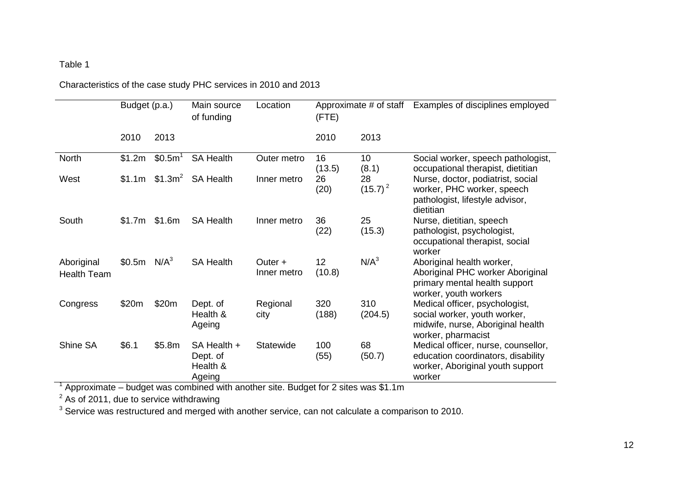### Table 1

### Characteristics of the case study PHC services in 2010 and 2013

|                                  | Budget (p.a.) |                     | Main source<br>of funding                     | Location<br>(FTE)      |                           | Approximate # of staff | Examples of disciplines employed                                                                                          |  |
|----------------------------------|---------------|---------------------|-----------------------------------------------|------------------------|---------------------------|------------------------|---------------------------------------------------------------------------------------------------------------------------|--|
|                                  | 2010          | 2013                |                                               |                        | 2010                      | 2013                   |                                                                                                                           |  |
| <b>North</b>                     | \$1.2m        | \$0.5m <sup>1</sup> | <b>SA Health</b>                              | Outer metro            | 16<br>(13.5)              | 10<br>(8.1)            | Social worker, speech pathologist,<br>occupational therapist, dietitian                                                   |  |
| West                             | \$1.1m        | \$1.3m <sup>2</sup> | <b>SA Health</b>                              | Inner metro            | 26<br>(20)                | 28<br>$(15.7)^2$       | Nurse, doctor, podiatrist, social<br>worker, PHC worker, speech<br>pathologist, lifestyle advisor,<br>dietitian           |  |
| South                            | \$1.7m        | \$1.6m              | <b>SA Health</b>                              | Inner metro            | 36<br>(22)                | 25<br>(15.3)           | Nurse, dietitian, speech<br>pathologist, psychologist,<br>occupational therapist, social<br>worker                        |  |
| Aboriginal<br><b>Health Team</b> | \$0.5m        | N/A <sup>3</sup>    | <b>SA Health</b>                              | Outer +<br>Inner metro | 12 <sub>2</sub><br>(10.8) | N/A <sup>3</sup>       | Aboriginal health worker,<br>Aboriginal PHC worker Aboriginal<br>primary mental health support<br>worker, youth workers   |  |
| Congress                         | \$20m         | \$20m               | Dept. of<br>Health &<br>Ageing                | Regional<br>city       | 320<br>(188)              | 310<br>(204.5)         | Medical officer, psychologist,<br>social worker, youth worker,<br>midwife, nurse, Aboriginal health<br>worker, pharmacist |  |
| Shine SA                         | \$6.1         | \$5.8m              | SA Health +<br>Dept. of<br>Health &<br>Ageing | Statewide              | 100<br>(55)               | 68<br>(50.7)           | Medical officer, nurse, counsellor,<br>education coordinators, disability<br>worker, Aboriginal youth support<br>worker   |  |

 $1$  Approximate – budget was combined with another site. Budget for 2 sites was \$1.1m

 $2$  As of 2011, due to service withdrawing

 $^3$  Service was restructured and merged with another service, can not calculate a comparison to 2010.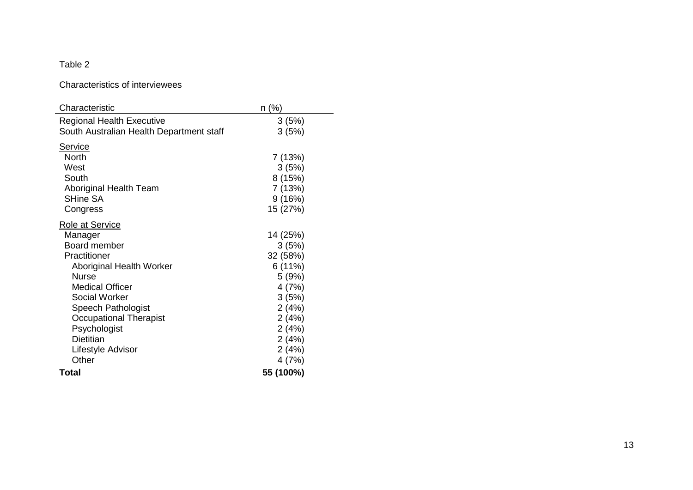#### Table 2

#### Characteristics of interviewees

| Characteristic                           | n (%)     |
|------------------------------------------|-----------|
| <b>Regional Health Executive</b>         | 3(5%)     |
| South Australian Health Department staff | 3(5%)     |
| Service                                  |           |
| <b>North</b>                             | 7 (13%)   |
| West                                     | 3(5%)     |
| South                                    | 8(15%)    |
| Aboriginal Health Team                   | 7 (13%)   |
| <b>SHine SA</b>                          | 9(16%)    |
| Congress                                 | 15 (27%)  |
| <b>Role at Service</b>                   |           |
| Manager                                  | 14 (25%)  |
| Board member                             | 3(5%)     |
| Practitioner                             | 32 (58%)  |
| Aboriginal Health Worker                 | 6(11%)    |
| <b>Nurse</b>                             | 5(9%)     |
| <b>Medical Officer</b>                   | 4(7%)     |
| Social Worker                            | 3(5%)     |
| Speech Pathologist                       | 2(4%)     |
| <b>Occupational Therapist</b>            | 2(4%)     |
| Psychologist                             | 2(4%)     |
| <b>Dietitian</b>                         | 2(4%)     |
| Lifestyle Advisor                        | 2(4%)     |
| Other                                    | 4(7%)     |
| Total                                    | 55 (100%) |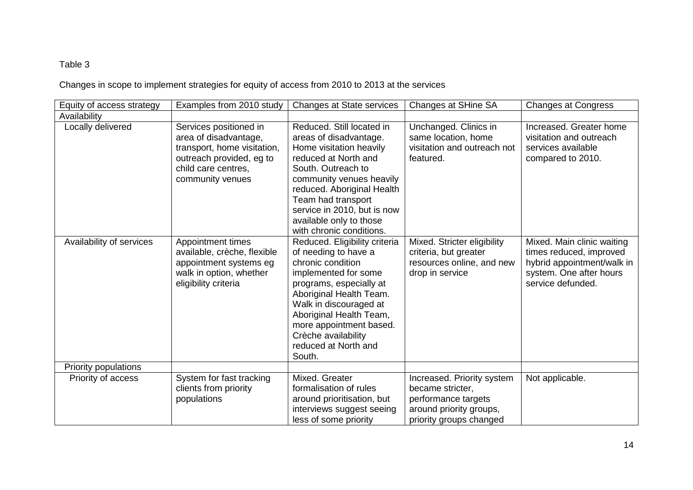# Table 3

Changes in scope to implement strategies for equity of access from 2010 to 2013 at the services

| Equity of access strategy | Examples from 2010 study                                                                                                                              | <b>Changes at State services</b>                                                                                                                                                                                                                                                                   | Changes at SHine SA                                                                                                         | <b>Changes at Congress</b>                                                                                                          |
|---------------------------|-------------------------------------------------------------------------------------------------------------------------------------------------------|----------------------------------------------------------------------------------------------------------------------------------------------------------------------------------------------------------------------------------------------------------------------------------------------------|-----------------------------------------------------------------------------------------------------------------------------|-------------------------------------------------------------------------------------------------------------------------------------|
| Availability              |                                                                                                                                                       |                                                                                                                                                                                                                                                                                                    |                                                                                                                             |                                                                                                                                     |
| Locally delivered         | Services positioned in<br>area of disadvantage,<br>transport, home visitation,<br>outreach provided, eg to<br>child care centres,<br>community venues | Reduced. Still located in<br>areas of disadvantage.<br>Home visitation heavily<br>reduced at North and<br>South, Outreach to<br>community venues heavily<br>reduced. Aboriginal Health<br>Team had transport<br>service in 2010, but is now<br>available only to those<br>with chronic conditions. | Unchanged. Clinics in<br>same location, home<br>visitation and outreach not<br>featured.                                    | Increased. Greater home<br>visitation and outreach<br>services available<br>compared to 2010.                                       |
| Availability of services  | Appointment times<br>available, crèche, flexible<br>appointment systems eg<br>walk in option, whether<br>eligibility criteria                         | Reduced. Eligibility criteria<br>of needing to have a<br>chronic condition<br>implemented for some<br>programs, especially at<br>Aboriginal Health Team.<br>Walk in discouraged at<br>Aboriginal Health Team,<br>more appointment based.<br>Crèche availability<br>reduced at North and<br>South.  | Mixed. Stricter eligibility<br>criteria, but greater<br>resources online, and new<br>drop in service                        | Mixed. Main clinic waiting<br>times reduced, improved<br>hybrid appointment/walk in<br>system. One after hours<br>service defunded. |
| Priority populations      |                                                                                                                                                       |                                                                                                                                                                                                                                                                                                    |                                                                                                                             |                                                                                                                                     |
| Priority of access        | System for fast tracking<br>clients from priority<br>populations                                                                                      | Mixed. Greater<br>formalisation of rules<br>around prioritisation, but<br>interviews suggest seeing<br>less of some priority                                                                                                                                                                       | Increased. Priority system<br>became stricter,<br>performance targets<br>around priority groups,<br>priority groups changed | Not applicable.                                                                                                                     |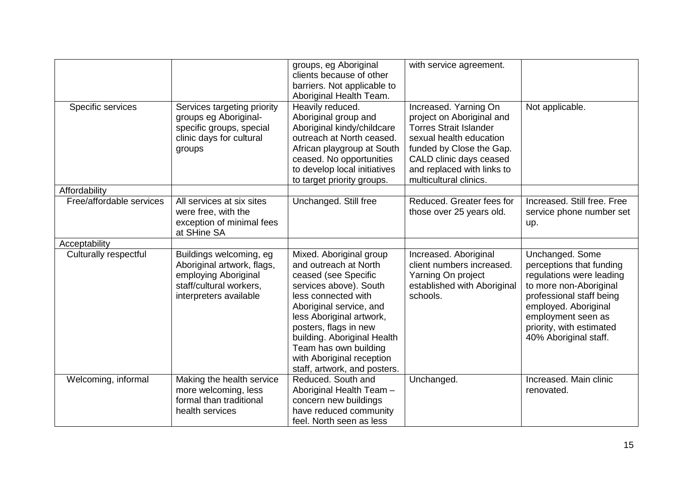|                              |                                                                                                                                    | groups, eg Aboriginal<br>clients because of other<br>barriers. Not applicable to<br>Aboriginal Health Team.                                                                                                                                                                                                                    | with service agreement.                                                                                                                                                                                                       |                                                                                                                                                                                                                                  |
|------------------------------|------------------------------------------------------------------------------------------------------------------------------------|--------------------------------------------------------------------------------------------------------------------------------------------------------------------------------------------------------------------------------------------------------------------------------------------------------------------------------|-------------------------------------------------------------------------------------------------------------------------------------------------------------------------------------------------------------------------------|----------------------------------------------------------------------------------------------------------------------------------------------------------------------------------------------------------------------------------|
| Specific services            | Services targeting priority<br>groups eg Aboriginal-<br>specific groups, special<br>clinic days for cultural<br>groups             | Heavily reduced.<br>Aboriginal group and<br>Aboriginal kindy/childcare<br>outreach at North ceased.<br>African playgroup at South<br>ceased. No opportunities<br>to develop local initiatives<br>to target priority groups.                                                                                                    | Increased. Yarning On<br>project on Aboriginal and<br><b>Torres Strait Islander</b><br>sexual health education<br>funded by Close the Gap.<br>CALD clinic days ceased<br>and replaced with links to<br>multicultural clinics. | Not applicable.                                                                                                                                                                                                                  |
| Affordability                |                                                                                                                                    |                                                                                                                                                                                                                                                                                                                                |                                                                                                                                                                                                                               |                                                                                                                                                                                                                                  |
| Free/affordable services     | All services at six sites<br>were free, with the<br>exception of minimal fees<br>at SHine SA                                       | Unchanged. Still free                                                                                                                                                                                                                                                                                                          | Reduced. Greater fees for<br>those over 25 years old.                                                                                                                                                                         | Increased. Still free. Free<br>service phone number set<br>up.                                                                                                                                                                   |
| Acceptability                |                                                                                                                                    |                                                                                                                                                                                                                                                                                                                                |                                                                                                                                                                                                                               |                                                                                                                                                                                                                                  |
| <b>Culturally respectful</b> | Buildings welcoming, eg<br>Aboriginal artwork, flags,<br>employing Aboriginal<br>staff/cultural workers,<br>interpreters available | Mixed. Aboriginal group<br>and outreach at North<br>ceased (see Specific<br>services above). South<br>less connected with<br>Aboriginal service, and<br>less Aboriginal artwork,<br>posters, flags in new<br>building. Aboriginal Health<br>Team has own building<br>with Aboriginal reception<br>staff, artwork, and posters. | Increased. Aboriginal<br>client numbers increased.<br>Yarning On project<br>established with Aboriginal<br>schools.                                                                                                           | Unchanged. Some<br>perceptions that funding<br>regulations were leading<br>to more non-Aboriginal<br>professional staff being<br>employed. Aboriginal<br>employment seen as<br>priority, with estimated<br>40% Aboriginal staff. |
| Welcoming, informal          | Making the health service                                                                                                          | Reduced. South and                                                                                                                                                                                                                                                                                                             | Unchanged.                                                                                                                                                                                                                    | Increased. Main clinic                                                                                                                                                                                                           |
|                              | more welcoming, less                                                                                                               | Aboriginal Health Team -                                                                                                                                                                                                                                                                                                       |                                                                                                                                                                                                                               | renovated.                                                                                                                                                                                                                       |
|                              | formal than traditional<br>health services                                                                                         | concern new buildings<br>have reduced community                                                                                                                                                                                                                                                                                |                                                                                                                                                                                                                               |                                                                                                                                                                                                                                  |
|                              |                                                                                                                                    | feel. North seen as less                                                                                                                                                                                                                                                                                                       |                                                                                                                                                                                                                               |                                                                                                                                                                                                                                  |
|                              |                                                                                                                                    |                                                                                                                                                                                                                                                                                                                                |                                                                                                                                                                                                                               |                                                                                                                                                                                                                                  |